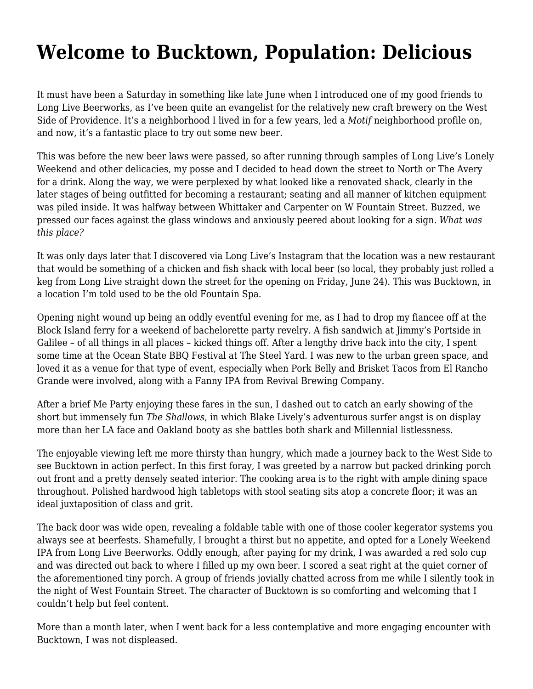## **[Welcome to Bucktown, Population: Delicious](https://motifri.com/bucktown/)**

It must have been a Saturday in something like late June when I introduced one of my good friends to Long Live Beerworks, as I've been quite an evangelist for the relatively new craft brewery on the West Side of Providence. It's a neighborhood I lived in for a few years, led a *Motif* neighborhood profile on, and now, it's a fantastic place to try out some new beer.

This was before the new beer laws were passed, so after running through samples of Long Live's Lonely Weekend and other delicacies, my posse and I decided to head down the street to North or The Avery for a drink. Along the way, we were perplexed by what looked like a renovated shack, clearly in the later stages of being outfitted for becoming a restaurant; seating and all manner of kitchen equipment was piled inside. It was halfway between Whittaker and Carpenter on W Fountain Street. Buzzed, we pressed our faces against the glass windows and anxiously peered about looking for a sign. *What was this place?*

It was only days later that I discovered via Long Live's [Instagram](https://www.instagram.com/p/BHBQi0AjMMF/?taken-by=longlivebeerworks) that the location was a new restaurant that would be something of a chicken and fish shack with local beer (so local, they probably just rolled a keg from Long Live straight down the street for the opening on Friday, June 24). This was Bucktown, in a location I'm told used to be the old Fountain Spa.

Opening night wound up being an oddly eventful evening for me, as I had to drop my fiancee off at the Block Island ferry for a weekend of bachelorette party revelry. A fish sandwich at Jimmy's Portside in Galilee – of all things in all places – kicked things off. After a lengthy drive back into the city, I spent some time at the Ocean State BBQ Festival at The Steel Yard. I was new to the urban green space, and loved it as a venue for that type of event, especially when [Pork Belly and Brisket Tacos](https://www.instagram.com/p/BHDf1rIABtu/) from El Rancho Grande were involved, along with a Fanny IPA from Revival Brewing Company.

After a brief Me Party enjoying these fares in the sun, I dashed out to catch an early showing of the short but immensely fun *The Shallows*, in which Blake Lively's adventurous surfer angst is on display more than her LA face and Oakland booty as she battles both shark and Millennial listlessness.

The enjoyable viewing left me more thirsty than hungry, which made a journey back to the West Side to see Bucktown in action perfect. In this first foray, I was greeted by a narrow but packed drinking porch out front and a pretty densely seated interior. The cooking area is to the right with ample dining space throughout. Polished hardwood high tabletops with stool seating sits atop a concrete floor; it was an ideal juxtaposition of class and grit.

The back door was wide open, revealing a foldable table with one of those cooler kegerator systems you always see at beerfests. Shamefully, I brought a thirst but no appetite, and opted for a Lonely Weekend IPA from Long Live Beerworks. Oddly enough, after paying for my drink, I was awarded a red solo cup and was directed out back to where I filled up my own beer. I scored a seat right at the quiet corner of the aforementioned tiny porch. A group of friends jovially chatted across from me while I silently took in [the night of West Fountain Street.](https://www.instagram.com/p/BHDx3rNAr9u/) The character of Bucktown is so comforting and welcoming that I couldn't help but feel content.

More than a month later, when I went back for a less contemplative and more engaging encounter with Bucktown, I was not displeased.